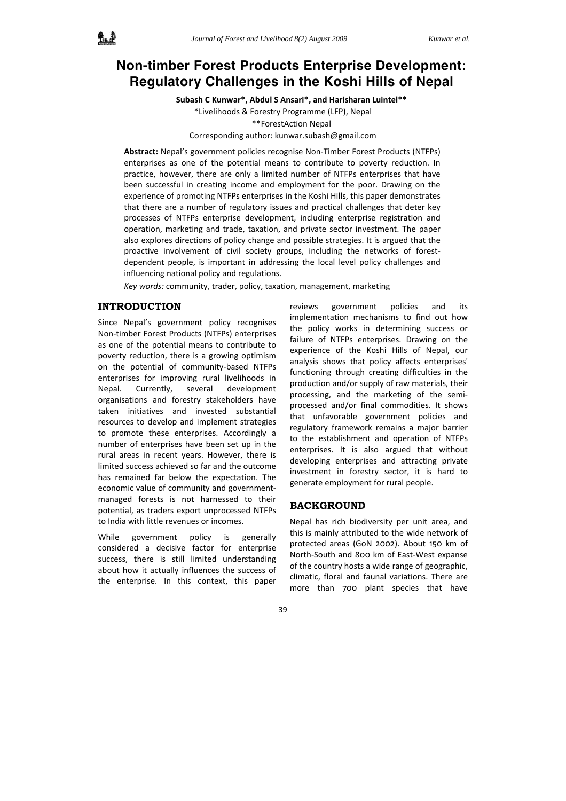

# **Non-timber Forest Products Enterprise Development: Regulatory Challenges in the Koshi Hills of Nepal**

**Subash C Kunwar\*, Abdul S Ansari\*, and Harisharan Luintel\*\***

\*Livelihoods & Forestry Programme (LFP), Nepal \*\*ForestAction Nepal Corresponding author: kunwar.subash@gmail.com

**Abstract:** Nepal's government policies recognise Non‐Timber Forest Products (NTFPs) enterprises as one of the potential means to contribute to poverty reduction. In practice, however, there are only a limited number of NTFPs enterprises that have been successful in creating income and employment for the poor. Drawing on the experience of promoting NTFPs enterprises in the Koshi Hills, this paper demonstrates that there are a number of regulatory issues and practical challenges that deter key processes of NTFPs enterprise development, including enterprise registration and operation, marketing and trade, taxation, and private sector investment. The paper also explores directions of policy change and possible strategies. It is argued that the proactive involvement of civil society groups, including the networks of forestdependent people, is important in addressing the local level policy challenges and influencing national policy and regulations.

*Key words:* community, trader, policy, taxation, management, marketing

# **INTRODUCTION**

Since Nepal's government policy recognises Non‐timber Forest Products (NTFPs) enterprises as one of the potential means to contribute to poverty reduction, there is a growing optimism on the potential of community‐based NTFPs enterprises for improving rural livelihoods in Nepal. Currently, several development organisations and forestry stakeholders have taken initiatives and invested substantial resources to develop and implement strategies to promote these enterprises. Accordingly a number of enterprises have been set up in the rural areas in recent years. However, there is limited success achieved so far and the outcome has remained far below the expectation. The economic value of community and government‐ managed forests is not harnessed to their potential, as traders export unprocessed NTFPs to India with little revenues or incomes.

While government policy is generally considered a decisive factor for enterprise success, there is still limited understanding about how it actually influences the success of the enterprise. In this context, this paper

reviews government policies and its implementation mechanisms to find out how the policy works in determining success or failure of NTFPs enterprises. Drawing on the experience of the Koshi Hills of Nepal, our analysis shows that policy affects enterprises' functioning through creating difficulties in the production and/or supply of raw materials, their processing, and the marketing of the semi‐ processed and/or final commodities. It shows that unfavorable government policies and regulatory framework remains a major barrier to the establishment and operation of NTFPs enterprises. It is also argued that without developing enterprises and attracting private investment in forestry sector, it is hard to generate employment for rural people.

### **BACKGROUND**

Nepal has rich biodiversity per unit area, and this is mainly attributed to the wide network of protected areas (GoN 2002). About 150 km of North‐South and 800 km of East‐West expanse of the country hosts a wide range of geographic, climatic, floral and faunal variations. There are more than 700 plant species that have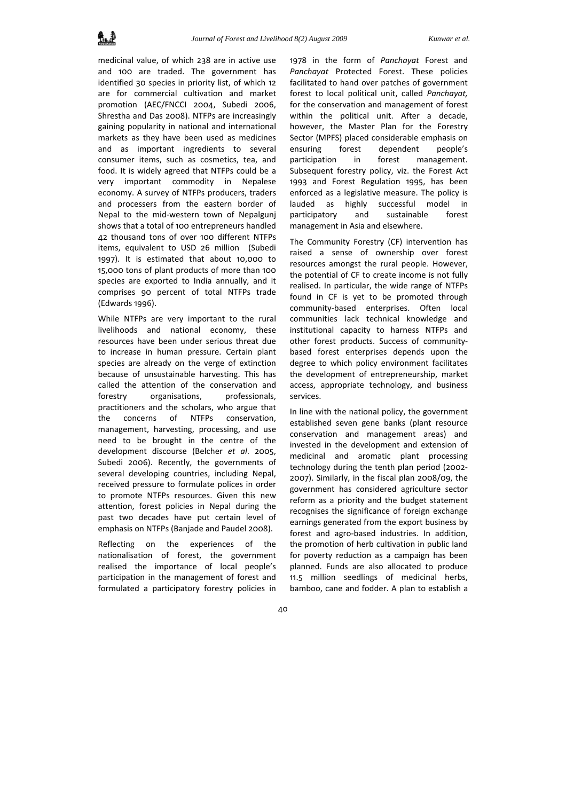medicinal value, of which 238 are in active use and 100 are traded. The government has identified 30 species in priority list, of which 12 are for commercial cultivation and market promotion (AEC/FNCCI 2004, Subedi 2006, Shrestha and Das 2008). NTFPs are increasingly gaining popularity in national and international markets as they have been used as medicines and as important ingredients to several consumer items, such as cosmetics, tea, and food. It is widely agreed that NTFPs could be a very important commodity in Nepalese economy. A survey of NTFPs producers, traders and processers from the eastern border of Nepal to the mid‐western town of Nepalgunj shows that a total of 100 entrepreneurs handled 42 thousand tons of over 100 different NTFPs items, equivalent to USD 26 million (Subedi 1997). It is estimated that about 10,000 to 15,000 tons of plant products of more than 100 species are exported to India annually, and it comprises 90 percent of total NTFPs trade (Edwards 1996).

While NTFPs are very important to the rural livelihoods and national economy, these resources have been under serious threat due to increase in human pressure. Certain plant species are already on the verge of extinction because of unsustainable harvesting. This has called the attention of the conservation and forestry organisations, professionals, practitioners and the scholars, who argue that the concerns of NTFPs conservation, management, harvesting, processing, and use need to be brought in the centre of the development discourse (Belcher *et al*. 2005, Subedi 2006). Recently, the governments of several developing countries, including Nepal, received pressure to formulate polices in order to promote NTFPs resources. Given this new attention, forest policies in Nepal during the past two decades have put certain level of emphasis on NTFPs (Banjade and Paudel 2008).

Reflecting on the experiences of the nationalisation of forest, the government realised the importance of local people's participation in the management of forest and formulated a participatory forestry policies in 1978 in the form of *Panchayat* Forest and *Panchayat* Protected Forest. These policies facilitated to hand over patches of government forest to local political unit, called *Panchayat,* for the conservation and management of forest within the political unit. After a decade, however, the Master Plan for the Forestry Sector (MPFS) placed considerable emphasis on ensuring forest dependent people's participation in forest management. Subsequent forestry policy, viz. the Forest Act 1993 and Forest Regulation 1995, has been enforced as a legislative measure. The policy is lauded as highly successful model in participatory and sustainable forest management in Asia and elsewhere.

The Community Forestry (CF) intervention has raised a sense of ownership over forest resources amongst the rural people. However, the potential of CF to create income is not fully realised. In particular, the wide range of NTFPs found in CF is yet to be promoted through community‐based enterprises. Often local communities lack technical knowledge and institutional capacity to harness NTFPs and other forest products. Success of community‐ based forest enterprises depends upon the degree to which policy environment facilitates the development of entrepreneurship, market access, appropriate technology, and business services.

In line with the national policy, the government established seven gene banks (plant resource conservation and management areas) and invested in the development and extension of medicinal and aromatic plant processing technology during the tenth plan period (2002‐ 2007). Similarly, in the fiscal plan 2008/09, the government has considered agriculture sector reform as a priority and the budget statement recognises the significance of foreign exchange earnings generated from the export business by forest and agro‐based industries. In addition, the promotion of herb cultivation in public land for poverty reduction as a campaign has been planned. Funds are also allocated to produce 11.5 million seedlings of medicinal herbs, bamboo, cane and fodder. A plan to establish a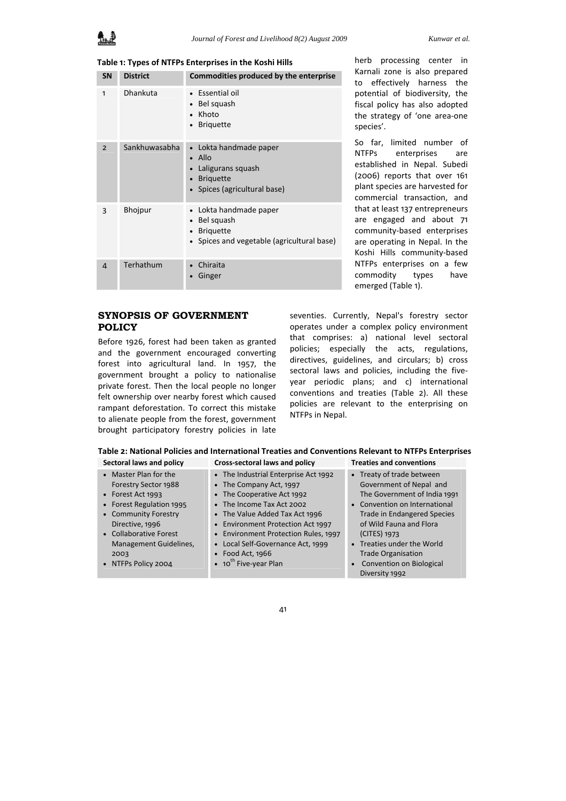**Table 1: Types of NTFPs Enterprises in the Koshi Hills**

| <b>SN</b>      | <b>District</b> | Commodities produced by the enterprise                                                                                        |
|----------------|-----------------|-------------------------------------------------------------------------------------------------------------------------------|
| 1              | Dhankuta        | Essential oil<br>• Bel squash<br>Khoto<br><b>Briquette</b>                                                                    |
| $\overline{2}$ | Sankhuwasabha   | Lokta handmade paper<br>$\bullet$<br>Allo<br>Laligurans squash<br><b>Briquette</b><br>$\bullet$<br>Spices (agricultural base) |
| 3              | Bhojpur         | • Lokta handmade paper<br>Bel squash<br><b>Briquette</b><br>$\bullet$<br>Spices and vegetable (agricultural base)             |
| $\overline{4}$ | Terhathum       | Chiraita<br>Ginger                                                                                                            |

# **SYNOPSIS OF GOVERNMENT POLICY**

Before 1926, forest had been taken as granted and the government encouraged converting forest into agricultural land. In 1957, the government brought a policy to nationalise private forest. Then the local people no longer felt ownership over nearby forest which caused rampant deforestation. To correct this mistake to alienate people from the forest, government brought participatory forestry policies in late

herb processing center in Karnali zone is also prepared to effectively harness the potential of biodiversity, the fiscal policy has also adopted the strategy of 'one area‐one species'.

So far, limited number of NTFPs enterprises are established in Nepal. Subedi (2006) reports that over 161 plant species are harvested for commercial transaction, and that at least 137 entrepreneurs are engaged and about 71 community‐based enterprises are operating in Nepal. In the Koshi Hills community‐based NTFPs enterprises on a few commodity types have emerged (Table 1).

seventies. Currently, Nepal's forestry sector operates under a complex policy environment that comprises: a) national level sectoral policies; especially the acts, regulations, directives, guidelines, and circulars; b) cross sectoral laws and policies, including the fiveyear periodic plans; and c) international conventions and treaties (Table 2). All these policies are relevant to the enterprising on NTFPs in Nepal.

| Table 2: National Policies and International Treaties and Conventions Relevant to NTFPs Enterprises |                                |                                 |  |  |
|-----------------------------------------------------------------------------------------------------|--------------------------------|---------------------------------|--|--|
| Sectoral laws and policy                                                                            | Cross-sectoral laws and policy | <b>Treaties and conventions</b> |  |  |

| • Master Plan for the    | • The Industrial Enterprise Act 1992      | • Treaty of trade between          |
|--------------------------|-------------------------------------------|------------------------------------|
| Forestry Sector 1988     | • The Company Act, 1997                   | Government of Nepal and            |
| • Forest Act 1993        | • The Cooperative Act 1992                | The Government of India 1991       |
| • Forest Regulation 1995 | • The Income Tax Act 2002                 | • Convention on International      |
| • Community Forestry     | • The Value Added Tax Act 1996            | <b>Trade in Endangered Species</b> |
| Directive, 1996          | • Environment Protection Act 1997         | of Wild Fauna and Flora            |
| • Collaborative Forest   | • Environment Protection Rules, 1997      | (CITES) 1973                       |
| Management Guidelines,   | • Local Self-Governance Act, 1999         | • Treaties under the World         |
| 2003                     | $\bullet$ Food Act, 1966                  | <b>Trade Organisation</b>          |
| • NTFPs Policy 2004      | $\bullet$ 10 <sup>th</sup> Five-year Plan | • Convention on Biological         |
|                          |                                           | Diversity 1992                     |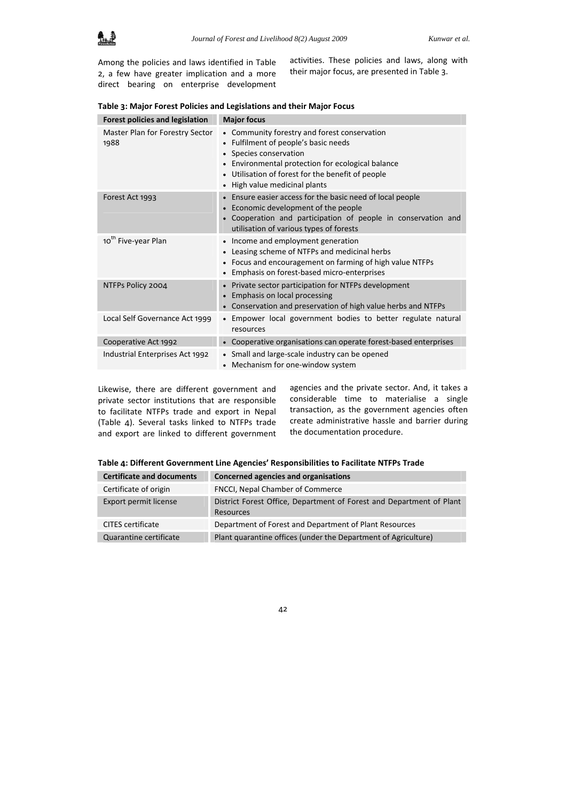Among the policies and laws identified in Table 2, a few have greater implication and a more direct bearing on enterprise development

activities. These policies and laws, along with their major focus, are presented in Table 3.

| <b>Forest policies and legislation</b>  | <b>Major focus</b>                                                                                                                                                                                                                                                                                       |
|-----------------------------------------|----------------------------------------------------------------------------------------------------------------------------------------------------------------------------------------------------------------------------------------------------------------------------------------------------------|
| Master Plan for Forestry Sector<br>1988 | Community forestry and forest conservation<br>$\bullet$<br>Fulfilment of people's basic needs<br>$\bullet$<br>• Species conservation<br>Environmental protection for ecological balance<br>٠<br>Utilisation of forest for the benefit of people<br>$\bullet$<br>High value medicinal plants<br>$\bullet$ |
| Forest Act 1993                         | Ensure easier access for the basic need of local people<br>$\bullet$<br>Economic development of the people<br>$\bullet$<br>Cooperation and participation of people in conservation and<br>$\bullet$<br>utilisation of various types of forests                                                           |
| 10 <sup>th</sup> Five-year Plan         | Income and employment generation<br>$\bullet$<br>Leasing scheme of NTFPs and medicinal herbs<br>$\bullet$<br>Focus and encouragement on farming of high value NTFPs<br>$\bullet$<br>Emphasis on forest-based micro-enterprises<br>$\bullet$                                                              |
| NTFPs Policy 2004                       | Private sector participation for NTFPs development<br>$\bullet$<br>Emphasis on local processing<br>$\bullet$<br>• Conservation and preservation of high value herbs and NTFPs                                                                                                                            |
| Local Self Governance Act 1999          | • Empower local government bodies to better regulate natural<br>resources                                                                                                                                                                                                                                |
| Cooperative Act 1992                    | • Cooperative organisations can operate forest-based enterprises                                                                                                                                                                                                                                         |
| Industrial Enterprises Act 1992         | • Small and large-scale industry can be opened<br>Mechanism for one-window system<br>$\bullet$                                                                                                                                                                                                           |

Likewise, there are different government and private sector institutions that are responsible to facilitate NTFPs trade and export in Nepal (Table 4). Several tasks linked to NTFPs trade and export are linked to different government agencies and the private sector. And, it takes a considerable time to materialise a single transaction, as the government agencies often create administrative hassle and barrier during the documentation procedure.

| Table 4: Different Government Line Agencies' Responsibilities to Facilitate NTFPs Trade |  |
|-----------------------------------------------------------------------------------------|--|
|-----------------------------------------------------------------------------------------|--|

| <b>Certificate and documents</b> | Concerned agencies and organisations                                              |
|----------------------------------|-----------------------------------------------------------------------------------|
| Certificate of origin            | FNCCI, Nepal Chamber of Commerce                                                  |
| Export permit license            | District Forest Office, Department of Forest and Department of Plant<br>Resources |
| <b>CITES</b> certificate         | Department of Forest and Department of Plant Resources                            |
| Quarantine certificate           | Plant quarantine offices (under the Department of Agriculture)                    |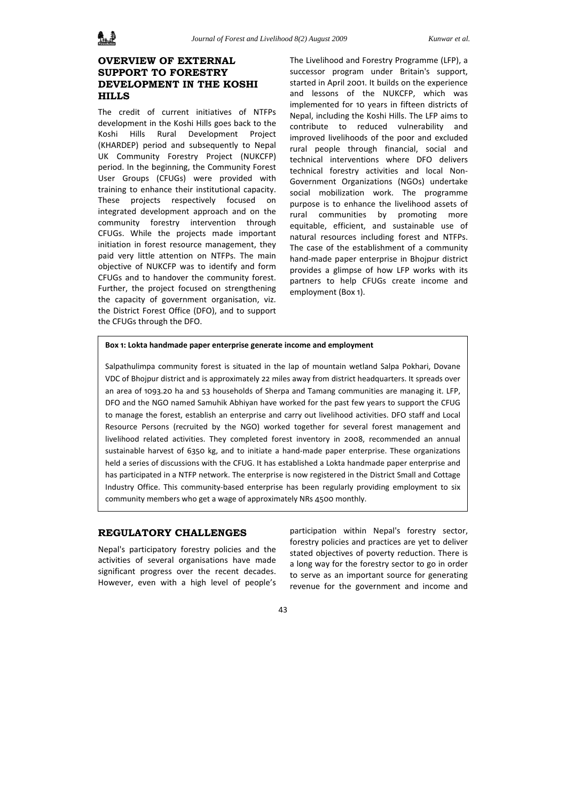# **OVERVIEW OF EXTERNAL SUPPORT TO FORESTRY DEVELOPMENT IN THE KOSHI HILLS**

The credit of current initiatives of NTFPs development in the Koshi Hills goes back to the Koshi Hills Rural Development Project (KHARDEP) period and subsequently to Nepal UK Community Forestry Project (NUKCFP) period. In the beginning, the Community Forest User Groups (CFUGs) were provided with training to enhance their institutional capacity. These projects respectively focused on integrated development approach and on the community forestry intervention through CFUGs. While the projects made important initiation in forest resource management, they paid very little attention on NTFPs. The main objective of NUKCFP was to identify and form CFUGs and to handover the community forest. Further, the project focused on strengthening the capacity of government organisation, viz. the District Forest Office (DFO), and to support the CFUGs through the DFO.

The Livelihood and Forestry Programme (LFP), a successor program under Britain's support, started in April 2001. It builds on the experience and lessons of the NUKCFP, which was implemented for 10 years in fifteen districts of Nepal, including the Koshi Hills. The LFP aims to contribute to reduced vulnerability and improved livelihoods of the poor and excluded rural people through financial, social and technical interventions where DFO delivers technical forestry activities and local Non‐ Government Organizations (NGOs) undertake social mobilization work. The programme purpose is to enhance the livelihood assets of rural communities by promoting more equitable, efficient, and sustainable use of natural resources including forest and NTFPs. The case of the establishment of a community hand‐made paper enterprise in Bhojpur district provides a glimpse of how LFP works with its partners to help CFUGs create income and employment (Box 1).

#### **Box 1: Lokta handmade paper enterprise generate income and employment**

Salpathulimpa community forest is situated in the lap of mountain wetland Salpa Pokhari, Dovane VDC of Bhojpur district and is approximately 22 miles away from district headquarters. It spreads over an area of 1093.20 ha and 53 households of Sherpa and Tamang communities are managing it. LFP, DFO and the NGO named Samuhik Abhiyan have worked for the past few years to support the CFUG to manage the forest, establish an enterprise and carry out livelihood activities. DFO staff and Local Resource Persons (recruited by the NGO) worked together for several forest management and livelihood related activities. They completed forest inventory in 2008, recommended an annual sustainable harvest of 6350 kg, and to initiate a hand-made paper enterprise. These organizations held a series of discussions with the CFUG. It has established a Lokta handmade paper enterprise and has participated in a NTFP network. The enterprise is now registered in the District Small and Cottage Industry Office. This community‐based enterprise has been regularly providing employment to six community members who get a wage of approximately NRs 4500 monthly.

# **REGULATORY CHALLENGES**

Nepal's participatory forestry policies and the activities of several organisations have made significant progress over the recent decades. However, even with a high level of people's participation within Nepal's forestry sector, forestry policies and practices are yet to deliver stated objectives of poverty reduction. There is a long way for the forestry sector to go in order to serve as an important source for generating revenue for the government and income and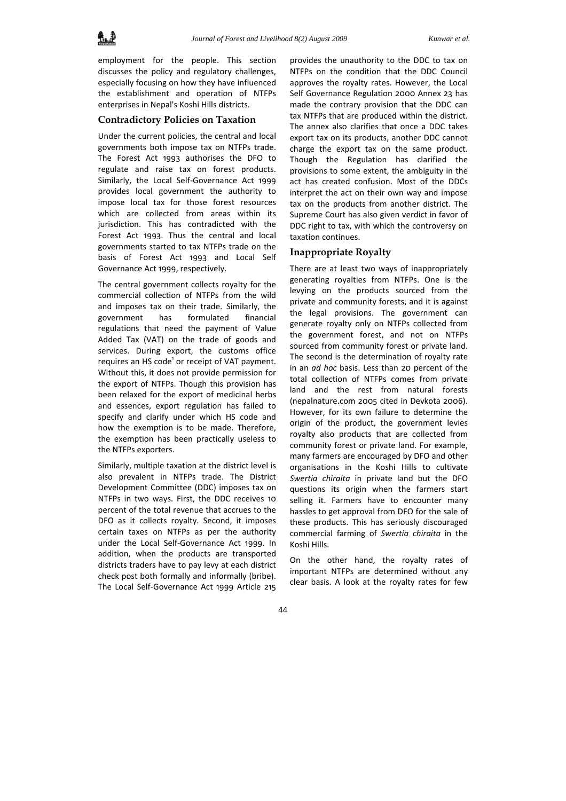

employment for the people. This section discusses the policy and regulatory challenges, especially focusing on how they have influenced the establishment and operation of NTFPs enterprises in Nepal's Koshi Hills districts.

# **Contradictory Policies on Taxation**

Under the current policies, the central and local governments both impose tax on NTFPs trade. The Forest Act 1993 authorises the DFO to regulate and raise tax on forest products. Similarly, the Local Self‐Governance Act 1999 provides local government the authority to impose local tax for those forest resources which are collected from areas within its jurisdiction. This has contradicted with the Forest Act 1993. Thus the central and local governments started to tax NTFPs trade on the basis of Forest Act 1993 and Local Self Governance Act 1999, respectively.

The central government collects royalty for the commercial collection of NTFPs from the wild and imposes tax on their trade. Similarly, the government has formulated financial regulations that need the payment of Value Added Tax (VAT) on the trade of goods and services. During export, the customs office requires an HS code<sup>1</sup> or receipt of VAT payment. Without this, it does not provide permission for the export of NTFPs. Though this provision has been relaxed for the export of medicinal herbs and essences, export regulation has failed to specify and clarify under which HS code and how the exemption is to be made. Therefore, the exemption has been practically useless to the NTFPs exporters.

Similarly, multiple taxation at the district level is also prevalent in NTFPs trade. The District Development Committee (DDC) imposes tax on NTFPs in two ways. First, the DDC receives 10 percent of the total revenue that accrues to the DFO as it collects royalty. Second, it imposes certain taxes on NTFPs as per the authority under the Local Self‐Governance Act 1999. In addition, when the products are transported districts traders have to pay levy at each district check post both formally and informally (bribe). The Local Self‐Governance Act 1999 Article 215

provides the unauthority to the DDC to tax on NTFPs on the condition that the DDC Council approves the royalty rates. However, the Local Self Governance Regulation 2000 Annex 23 has made the contrary provision that the DDC can tax NTFPs that are produced within the district. The annex also clarifies that once a DDC takes export tax on its products, another DDC cannot charge the export tax on the same product. Though the Regulation has clarified the provisions to some extent, the ambiguity in the act has created confusion. Most of the DDCs interpret the act on their own way and impose tax on the products from another district. The Supreme Court has also given verdict in favor of DDC right to tax, with which the controversy on taxation continues.

#### **Inappropriate Royalty**

There are at least two ways of inappropriately generating royalties from NTFPs. One is the levying on the products sourced from the private and community forests, and it is against the legal provisions. The government can generate royalty only on NTFPs collected from the government forest, and not on NTFPs sourced from community forest or private land. The second is the determination of royalty rate in an *ad hoc* basis. Less than 20 percent of the total collection of NTFPs comes from private land and the rest from natural forests (nepalnature.com 2005 cited in Devkota 2006). However, for its own failure to determine the origin of the product, the government levies royalty also products that are collected from community forest or private land. For example, many farmers are encouraged by DFO and other organisations in the Koshi Hills to cultivate *Swertia chiraita* in private land but the DFO questions its origin when the farmers start selling it. Farmers have to encounter many hassles to get approval from DFO for the sale of these products. This has seriously discouraged commercial farming of *Swertia chiraita* in the Koshi Hills.

On the other hand, the royalty rates of important NTFPs are determined without any clear basis. A look at the royalty rates for few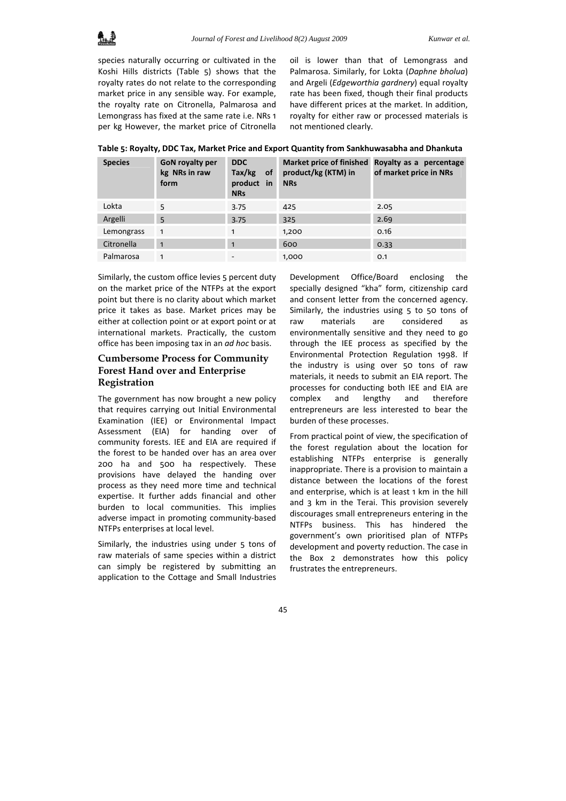

species naturally occurring or cultivated in the Koshi Hills districts (Table 5) shows that the royalty rates do not relate to the corresponding market price in any sensible way. For example, the royalty rate on Citronella, Palmarosa and Lemongrass has fixed at the same rate i.e. NRs 1 per kg However, the market price of Citronella

oil is lower than that of Lemongrass and Palmarosa. Similarly, for Lokta (*Daphne bholua*) and Argeli (*Edgeworthia gardnery*) equal royalty rate has been fixed, though their final products have different prices at the market. In addition, royalty for either raw or processed materials is not mentioned clearly.

**Table 5: Royalty, DDC Tax, Market Price and Export Quantity from Sankhuwasabha and Dhankuta**

| <b>Species</b> | <b>GoN</b> royalty per<br>kg NRs in raw<br>form | <b>DDC</b><br>$Tax/kg$ of<br>product in<br><b>NRs</b> | product/kg (KTM) in<br><b>NRs</b> | Market price of finished Royalty as a percentage<br>of market price in NRs |
|----------------|-------------------------------------------------|-------------------------------------------------------|-----------------------------------|----------------------------------------------------------------------------|
| Lokta          | 5                                               | 3.75                                                  | 425                               | 2.05                                                                       |
| Argelli        | 5                                               | 3.75                                                  | 325                               | 2.69                                                                       |
| Lemongrass     | $\mathbf{1}$                                    | $\mathbf{1}$                                          | 1,200                             | 0.16                                                                       |
| Citronella     | 1                                               | $\mathbf{1}$                                          | 600                               | 0.33                                                                       |
| Palmarosa      | 1                                               | $\overline{\phantom{a}}$                              | 1,000                             | O.1                                                                        |

Similarly, the custom office levies 5 percent duty on the market price of the NTFPs at the export point but there is no clarity about which market price it takes as base. Market prices may be either at collection point or at export point or at international markets. Practically, the custom office has been imposing tax in an *ad hoc* basis.

# **Cumbersome Process for Community Forest Hand over and Enterprise Registration**

The government has now brought a new policy that requires carrying out Initial Environmental Examination (IEE) or Environmental Impact Assessment (EIA) for handing over of community forests. IEE and EIA are required if the forest to be handed over has an area over 200 ha and 500 ha respectively. These provisions have delayed the handing over process as they need more time and technical expertise. It further adds financial and other burden to local communities. This implies adverse impact in promoting community‐based NTFPs enterprises at local level.

Similarly, the industries using under 5 tons of raw materials of same species within a district can simply be registered by submitting an application to the Cottage and Small Industries Development Office/Board enclosing the specially designed "kha" form, citizenship card and consent letter from the concerned agency. Similarly, the industries using 5 to 50 tons of raw materials are considered as environmentally sensitive and they need to go through the IEE process as specified by the Environmental Protection Regulation 1998. If the industry is using over 50 tons of raw materials, it needs to submit an EIA report. The processes for conducting both IEE and EIA are complex and lengthy and therefore entrepreneurs are less interested to bear the burden of these processes.

From practical point of view, the specification of the forest regulation about the location for establishing NTFPs enterprise is generally inappropriate. There is a provision to maintain a distance between the locations of the forest and enterprise, which is at least 1 km in the hill and 3 km in the Terai. This provision severely discourages small entrepreneurs entering in the NTFPs business. This has hindered the government's own prioritised plan of NTFPs development and poverty reduction. The case in the Box 2 demonstrates how this policy frustrates the entrepreneurs.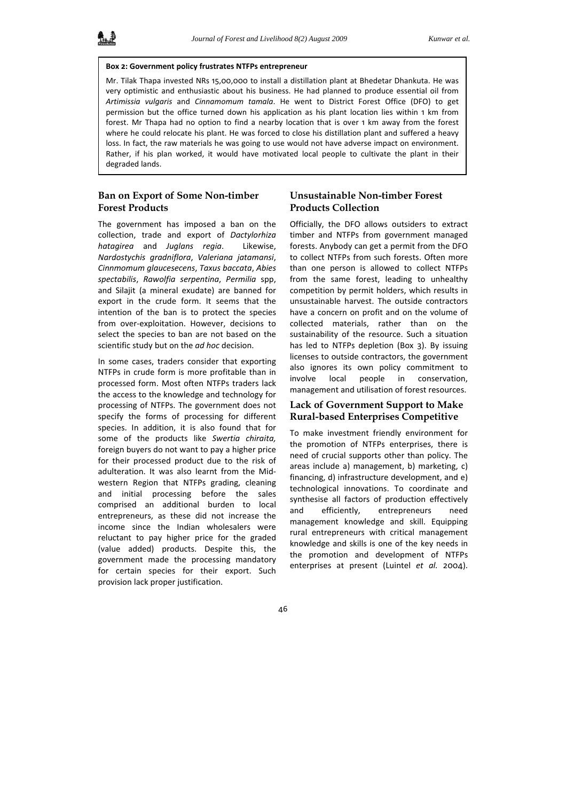#### **Box 2: Government policy frustrates NTFPs entrepreneur**

Mr. Tilak Thapa invested NRs 15,00,000 to install a distillation plant at Bhedetar Dhankuta. He was very optimistic and enthusiastic about his business. He had planned to produce essential oil from *Artimissia vulgaris* and *Cinnamomum tamala*. He went to District Forest Office (DFO) to get permission but the office turned down his application as his plant location lies within 1 km from forest. Mr Thapa had no option to find a nearby location that is over 1 km away from the forest where he could relocate his plant. He was forced to close his distillation plant and suffered a heavy loss. In fact, the raw materials he was going to use would not have adverse impact on environment. Rather, if his plan worked, it would have motivated local people to cultivate the plant in their degraded lands.

# **Ban on Export of Some Non-timber Forest Products**

The government has imposed a ban on the collection, trade and export of *Dactylorhiza hatagirea* and *Juglans regia*. Likewise, *Nardostychis gradniflora*, *Valeriana jatamansi*, *Cinnmomum glaucesecens*, *Taxus baccata*, *Abies spectabilis*, *Rawolfia serpentina*, *Permilia* spp, and Silajit (a mineral exudate) are banned for export in the crude form. It seems that the intention of the ban is to protect the species from over-exploitation. However, decisions to select the species to ban are not based on the scientific study but on the *ad hoc* decision.

In some cases, traders consider that exporting NTFPs in crude form is more profitable than in processed form. Most often NTFPs traders lack the access to the knowledge and technology for processing of NTFPs. The government does not specify the forms of processing for different species. In addition, it is also found that for some of the products like *Swertia chiraita,* foreign buyers do not want to pay a higher price for their processed product due to the risk of adulteration. It was also learnt from the Mid‐ western Region that NTFPs grading, cleaning and initial processing before the sales comprised an additional burden to local entrepreneurs, as these did not increase the income since the Indian wholesalers were reluctant to pay higher price for the graded (value added) products. Despite this, the government made the processing mandatory for certain species for their export. Such provision lack proper justification.

# **Unsustainable Non-timber Forest Products Collection**

Officially, the DFO allows outsiders to extract timber and NTFPs from government managed forests. Anybody can get a permit from the DFO to collect NTFPs from such forests. Often more than one person is allowed to collect NTFPs from the same forest, leading to unhealthy competition by permit holders, which results in unsustainable harvest. The outside contractors have a concern on profit and on the volume of collected materials, rather than on the sustainability of the resource. Such a situation has led to NTFPs depletion (Box 3). By issuing licenses to outside contractors, the government also ignores its own policy commitment to involve local people in conservation, management and utilisation of forest resources.

# **Lack of Government Support to Make Rural-based Enterprises Competitive**

To make investment friendly environment for the promotion of NTFPs enterprises, there is need of crucial supports other than policy. The areas include a) management, b) marketing, c) financing, d) infrastructure development, and e) technological innovations. To coordinate and synthesise all factors of production effectively and efficiently, entrepreneurs need management knowledge and skill. Equipping rural entrepreneurs with critical management knowledge and skills is one of the key needs in the promotion and development of NTFPs enterprises at present (Luintel *et al.* 2004).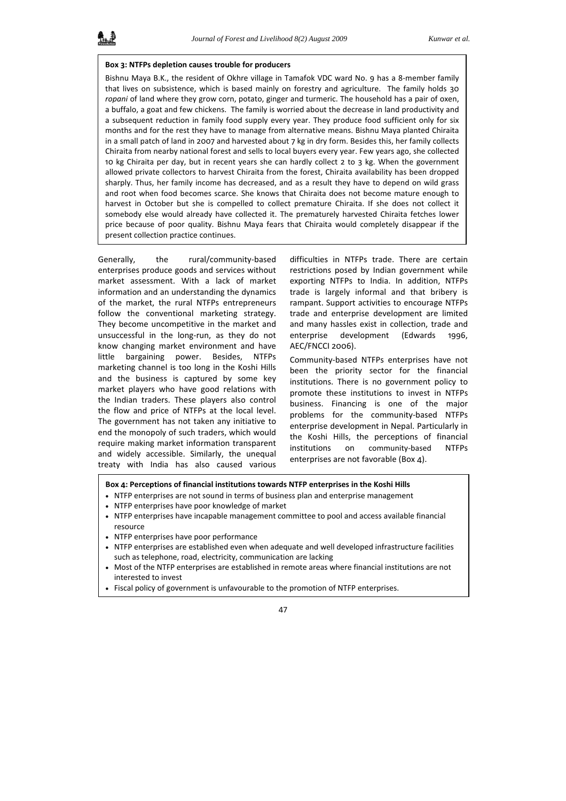#### **Box 3: NTFPs depletion causes trouble for producers**

Bishnu Maya B.K., the resident of Okhre village in Tamafok VDC ward No. 9 has a 8-member family that lives on subsistence, which is based mainly on forestry and agriculture. The family holds 30 *ropani* of land where they grow corn, potato, ginger and turmeric. The household has a pair of oxen, a buffalo, a goat and few chickens. The family is worried about the decrease in land productivity and a subsequent reduction in family food supply every year. They produce food sufficient only for six months and for the rest they have to manage from alternative means. Bishnu Maya planted Chiraita in a small patch of land in 2007 and harvested about 7 kg in dry form. Besides this, her family collects Chiraita from nearby national forest and sells to local buyers every year. Few years ago, she collected 10 kg Chiraita per day, but in recent years she can hardly collect 2 to 3 kg. When the government allowed private collectors to harvest Chiraita from the forest, Chiraita availability has been dropped sharply. Thus, her family income has decreased, and as a result they have to depend on wild grass and root when food becomes scarce. She knows that Chiraita does not become mature enough to harvest in October but she is compelled to collect premature Chiraita. If she does not collect it somebody else would already have collected it. The prematurely harvested Chiraita fetches lower price because of poor quality. Bishnu Maya fears that Chiraita would completely disappear if the present collection practice continues.

Generally, the rural/community‐based enterprises produce goods and services without market assessment. With a lack of market information and an understanding the dynamics of the market, the rural NTFPs entrepreneurs follow the conventional marketing strategy. They become uncompetitive in the market and unsuccessful in the long‐run, as they do not know changing market environment and have little bargaining power. Besides, NTFPs marketing channel is too long in the Koshi Hills and the business is captured by some key market players who have good relations with the Indian traders. These players also control the flow and price of NTFPs at the local level. The government has not taken any initiative to end the monopoly of such traders, which would require making market information transparent and widely accessible. Similarly, the unequal treaty with India has also caused various

difficulties in NTFPs trade. There are certain restrictions posed by Indian government while exporting NTFPs to India. In addition, NTFPs trade is largely informal and that bribery is rampant. Support activities to encourage NTFPs trade and enterprise development are limited and many hassles exist in collection, trade and enterprise development (Edwards 1996, AEC/FNCCI 2006).

Community‐based NTFPs enterprises have not been the priority sector for the financial institutions. There is no government policy to promote these institutions to invest in NTFPs business. Financing is one of the major problems for the community‐based NTFPs enterprise development in Nepal. Particularly in the Koshi Hills, the perceptions of financial institutions on community‐based NTFPs enterprises are not favorable (Box 4).

#### **Box 4: Perceptions of financial institutions towards NTFP enterprises in the Koshi Hills**

- NTFP enterprises are not sound in terms of business plan and enterprise management
- NTFP enterprises have poor knowledge of market
- NTFP enterprises have incapable management committee to pool and access available financial resource
- NTFP enterprises have poor performance
- NTFP enterprises are established even when adequate and well developed infrastructure facilities such as telephone, road, electricity, communication are lacking
- Most of the NTFP enterprises are established in remote areas where financial institutions are not interested to invest
- Fiscal policy of government is unfavourable to the promotion of NTFP enterprises.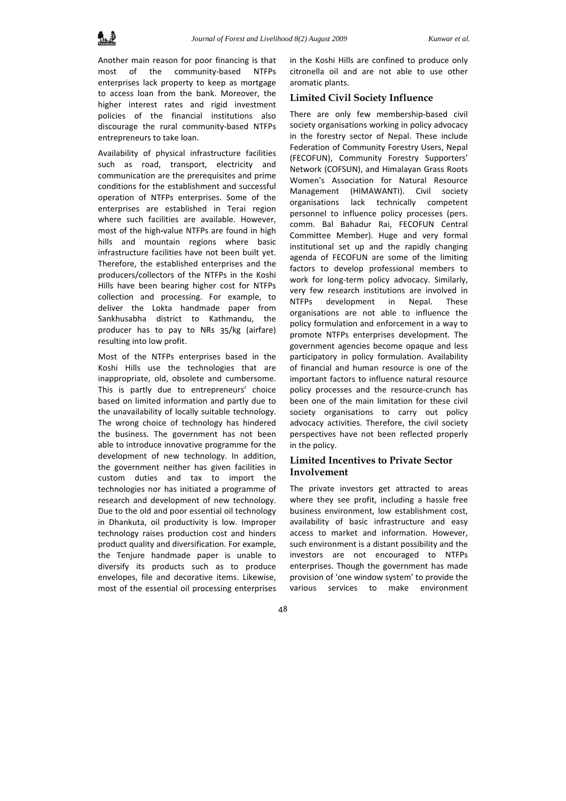

Another main reason for poor financing is that most of the community-based NTFPs enterprises lack property to keep as mortgage to access loan from the bank. Moreover, the higher interest rates and rigid investment policies of the financial institutions also discourage the rural community‐based NTFPs entrepreneurs to take loan.

Availability of physical infrastructure facilities such as road, transport, electricity and communication are the prerequisites and prime conditions for the establishment and successful operation of NTFPs enterprises. Some of the enterprises are established in Terai region where such facilities are available. However, most of the high**‐**value NTFPs are found in high hills and mountain regions where basic infrastructure facilities have not been built yet. Therefore, the established enterprises and the producers/collectors of the NTFPs in the Koshi Hills have been bearing higher cost for NTFPs collection and processing. For example, to deliver the Lokta handmade paper from Sankhusabha district to Kathmandu, the producer has to pay to NRs 35/kg (airfare) resulting into low profit.

Most of the NTFPs enterprises based in the Koshi Hills use the technologies that are inappropriate, old, obsolete and cumbersome. This is partly due to entrepreneurs' choice based on limited information and partly due to the unavailability of locally suitable technology. The wrong choice of technology has hindered the business. The government has not been able to introduce innovative programme for the development of new technology. In addition, the government neither has given facilities in custom duties and tax to import the technologies nor has initiated a programme of research and development of new technology. Due to the old and poor essential oil technology in Dhankuta, oil productivity is low. Improper technology raises production cost and hinders product quality and diversification. For example, the Tenjure handmade paper is unable to diversify its products such as to produce envelopes, file and decorative items. Likewise, most of the essential oil processing enterprises

in the Koshi Hills are confined to produce only citronella oil and are not able to use other aromatic plants.

### **Limited Civil Society Influence**

There are only few membership-based civil society organisations working in policy advocacy in the forestry sector of Nepal. These include Federation of Community Forestry Users, Nepal (FECOFUN), Community Forestry Supporters' Network (COFSUN), and Himalayan Grass Roots Women's Association for Natural Resource Management (HIMAWANTI). Civil society organisations lack technically competent personnel to influence policy processes (pers. comm. Bal Bahadur Rai, FECOFUN Central Committee Member). Huge and very formal institutional set up and the rapidly changing agenda of FECOFUN are some of the limiting factors to develop professional members to work for long-term policy advocacy. Similarly, very few research institutions are involved in NTFPs development in Nepal. These organisations are not able to influence the policy formulation and enforcement in a way to promote NTFPs enterprises development. The government agencies become opaque and less participatory in policy formulation. Availability of financial and human resource is one of the important factors to influence natural resource policy processes and the resource‐crunch has been one of the main limitation for these civil society organisations to carry out policy advocacy activities. Therefore, the civil society perspectives have not been reflected properly in the policy.

# **Limited Incentives to Private Sector Involvement**

The private investors get attracted to areas where they see profit, including a hassle free business environment, low establishment cost, availability of basic infrastructure and easy access to market and information. However, such environment is a distant possibility and the investors are not encouraged to NTFPs enterprises. Though the government has made provision of 'one window system' to provide the various services to make environment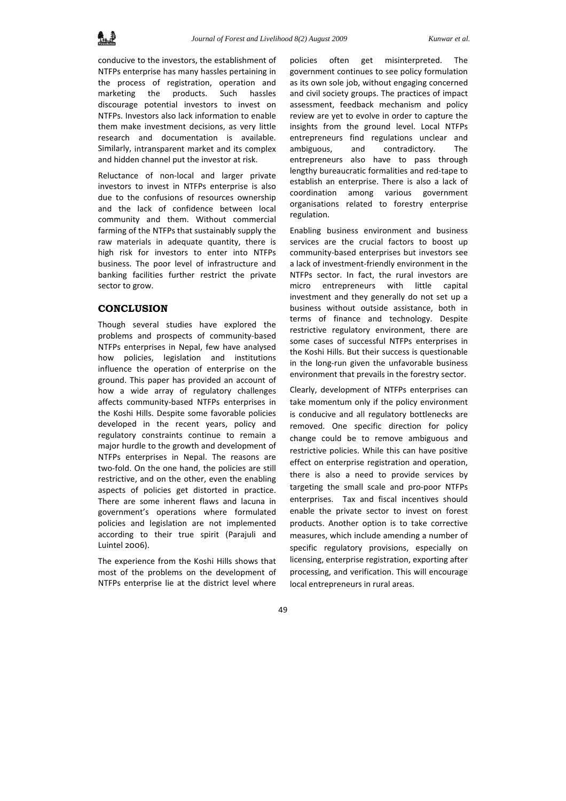conducive to the investors, the establishment of NTFPs enterprise has many hassles pertaining in the process of registration, operation and marketing the products. Such hassles discourage potential investors to invest on NTFPs. Investors also lack information to enable them make investment decisions, as very little research and documentation is available. Similarly, intransparent market and its complex and hidden channel put the investor at risk.

Reluctance of non‐local and larger private investors to invest in NTFPs enterprise is also due to the confusions of resources ownership and the lack of confidence between local community and them. Without commercial farming of the NTFPs that sustainably supply the raw materials in adequate quantity, there is high risk for investors to enter into NTFPs business. The poor level of infrastructure and banking facilities further restrict the private sector to grow.

# **CONCLUSION**

Though several studies have explored the problems and prospects of community‐based NTFPs enterprises in Nepal, few have analysed how policies, legislation and institutions influence the operation of enterprise on the ground. This paper has provided an account of how a wide array of regulatory challenges affects community‐based NTFPs enterprises in the Koshi Hills. Despite some favorable policies developed in the recent years, policy and regulatory constraints continue to remain a major hurdle to the growth and development of NTFPs enterprises in Nepal. The reasons are two-fold. On the one hand, the policies are still restrictive, and on the other, even the enabling aspects of policies get distorted in practice. There are some inherent flaws and lacuna in government's operations where formulated policies and legislation are not implemented according to their true spirit (Parajuli and Luintel 2006).

The experience from the Koshi Hills shows that most of the problems on the development of NTFPs enterprise lie at the district level where

policies often get misinterpreted. The government continues to see policy formulation as its own sole job, without engaging concerned and civil society groups. The practices of impact assessment, feedback mechanism and policy review are yet to evolve in order to capture the insights from the ground level. Local NTFPs entrepreneurs find regulations unclear and ambiguous, and contradictory. The entrepreneurs also have to pass through lengthy bureaucratic formalities and red‐tape to establish an enterprise. There is also a lack of coordination among various government organisations related to forestry enterprise regulation.

Enabling business environment and business services are the crucial factors to boost up community‐based enterprises but investors see a lack of investment‐friendly environment in the NTFPs sector. In fact, the rural investors are micro entrepreneurs with little capital investment and they generally do not set up a business without outside assistance, both in terms of finance and technology. Despite restrictive regulatory environment, there are some cases of successful NTFPs enterprises in the Koshi Hills. But their success is questionable in the long‐run given the unfavorable business environment that prevails in the forestry sector.

Clearly, development of NTFPs enterprises can take momentum only if the policy environment is conducive and all regulatory bottlenecks are removed. One specific direction for policy change could be to remove ambiguous and restrictive policies. While this can have positive effect on enterprise registration and operation, there is also a need to provide services by targeting the small scale and pro‐poor NTFPs enterprises. Tax and fiscal incentives should enable the private sector to invest on forest products. Another option is to take corrective measures, which include amending a number of specific regulatory provisions, especially on licensing, enterprise registration, exporting after processing, and verification. This will encourage local entrepreneurs in rural areas.